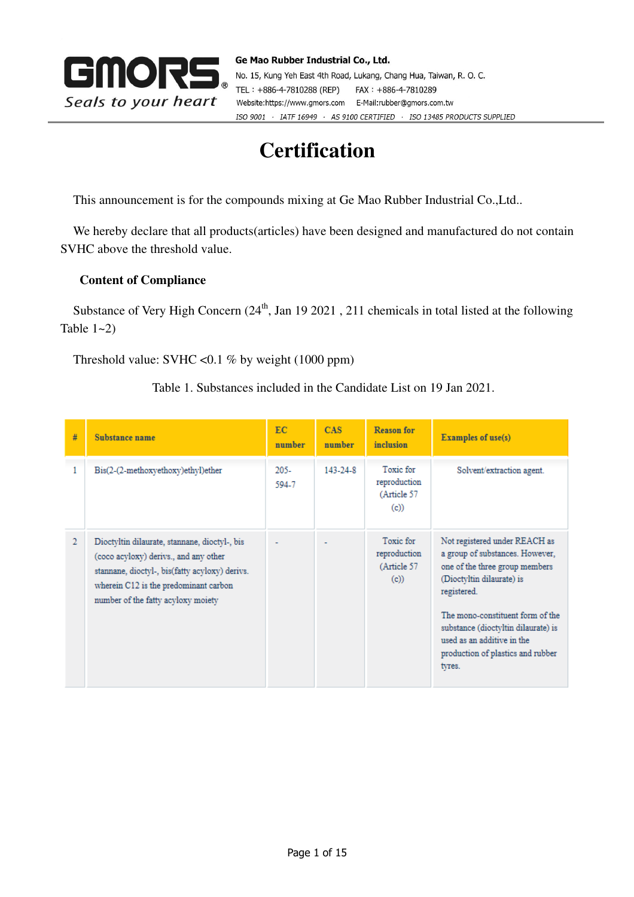

# **Certification**

This announcement is for the compounds mixing at Ge Mao Rubber Industrial Co.,Ltd..

We hereby declare that all products(articles) have been designed and manufactured do not contain SVHC above the threshold value.

## **Content of Compliance**

Substance of Very High Concern  $(24<sup>th</sup>, Jan 19 2021, 211$  chemicals in total listed at the following Table  $1 - 2$ )

Threshold value: SVHC < $0.1$  % by weight (1000 ppm)

Table 1. Substances included in the Candidate List on 19 Jan 2021.

| #              | Substance name                                                                                                                                                                                                          | EC.<br>number    | CAS:<br>number | <b>Reason for</b><br>inclusion                   | <b>Examples of use(s)</b>                                                                                                                                                                                                                                                                              |
|----------------|-------------------------------------------------------------------------------------------------------------------------------------------------------------------------------------------------------------------------|------------------|----------------|--------------------------------------------------|--------------------------------------------------------------------------------------------------------------------------------------------------------------------------------------------------------------------------------------------------------------------------------------------------------|
|                | Bis(2-(2-methoxyethoxy)ethyl)ether                                                                                                                                                                                      | $205 -$<br>594-7 | 143-24-8       | Toxic for<br>reproduction<br>(Article 57<br>(c)  | Solvent/extraction agent.                                                                                                                                                                                                                                                                              |
| $\mathfrak{D}$ | Dioctyltin dilaurate, stannane, dioctyl-, bis<br>(coco acyloxy) derivs., and any other<br>stannane, dioctyl-, bis(fatty acyloxy) derivs.<br>wherein C12 is the predominant carbon<br>number of the fatty acyloxy moiety |                  |                | Toxic for<br>reproduction<br>(Article 57)<br>(c) | Not registered under REACH as<br>a group of substances. However,<br>one of the three group members<br>(Dioctyltin dilaurate) is<br>registered.<br>The mono-constituent form of the<br>substance (dioctyltin dilaurate) is<br>used as an additive in the<br>production of plastics and rubber<br>tyres. |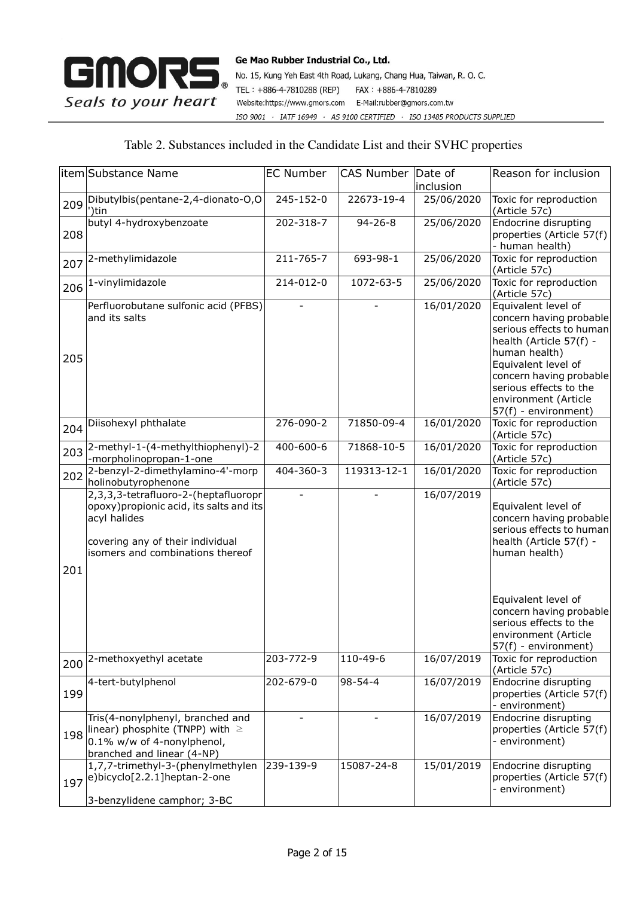

No. 15, Kung Yeh East 4th Road, Lukang, Chang Hua, Taiwan, R. O. C. TEL: +886-4-7810288 (REP) FAX: +886-4-7810289 Website:https://www.gmors.com E-Mail:rubber@gmors.com.tw ISO 9001 · IATF 16949 · AS 9100 CERTIFIED · ISO 13485 PRODUCTS SUPPLIED

## Table 2. Substances included in the Candidate List and their SVHC properties

|     | litem Substance Name                                                                                                                                                     | <b>EC Number</b> | CAS Number Date of | inclusion  | Reason for inclusion                                                                                                                                                                                                                               |
|-----|--------------------------------------------------------------------------------------------------------------------------------------------------------------------------|------------------|--------------------|------------|----------------------------------------------------------------------------------------------------------------------------------------------------------------------------------------------------------------------------------------------------|
| 209 | Dibutylbis(pentane-2,4-dionato-O,O<br>')tin                                                                                                                              | 245-152-0        | 22673-19-4         | 25/06/2020 | Toxic for reproduction<br>(Article 57c)                                                                                                                                                                                                            |
| 208 | butyl 4-hydroxybenzoate                                                                                                                                                  | 202-318-7        | $94 - 26 - 8$      | 25/06/2020 | Endocrine disrupting<br>properties (Article 57(f)<br>- human health)                                                                                                                                                                               |
| 207 | 2-methylimidazole                                                                                                                                                        | 211-765-7        | 693-98-1           | 25/06/2020 | Toxic for reproduction<br>(Article 57c)                                                                                                                                                                                                            |
| 206 | 1-vinylimidazole                                                                                                                                                         | 214-012-0        | 1072-63-5          | 25/06/2020 | Toxic for reproduction<br>(Article 57c)                                                                                                                                                                                                            |
| 205 | Perfluorobutane sulfonic acid (PFBS)<br>and its salts                                                                                                                    |                  |                    | 16/01/2020 | Equivalent level of<br>concern having probable<br>serious effects to human<br>health (Article 57(f) -<br>human health)<br>Equivalent level of<br>concern having probable<br>serious effects to the<br>environment (Article<br>57(f) - environment) |
| 204 | Diisohexyl phthalate                                                                                                                                                     | 276-090-2        | 71850-09-4         | 16/01/2020 | Toxic for reproduction<br>(Article 57c)                                                                                                                                                                                                            |
| 203 | 2-methyl-1-(4-methylthiophenyl)-2<br>-morpholinopropan-1-one                                                                                                             | 400-600-6        | 71868-10-5         | 16/01/2020 | Toxic for reproduction<br>(Article 57c)                                                                                                                                                                                                            |
| 202 | 2-benzyl-2-dimethylamino-4'-morp<br>holinobutyrophenone                                                                                                                  | 404-360-3        | 119313-12-1        | 16/01/2020 | Toxic for reproduction<br>(Article 57c)                                                                                                                                                                                                            |
| 201 | 2,3,3,3-tetrafluoro-2-(heptafluoropr<br>opoxy) propionic acid, its salts and its<br>acyl halides<br>covering any of their individual<br>isomers and combinations thereof |                  |                    | 16/07/2019 | Equivalent level of<br>concern having probable<br>serious effects to human<br>health (Article 57(f) -<br>human health)                                                                                                                             |
|     |                                                                                                                                                                          |                  |                    |            | Equivalent level of<br>concern having probable<br>serious effects to the<br>environment (Article<br>57(f) - environment)                                                                                                                           |
| 200 | 2-methoxyethyl acetate                                                                                                                                                   | 203-772-9        | 110-49-6           | 16/07/2019 | Toxic for reproduction<br>(Article 57c)                                                                                                                                                                                                            |
| 199 | 4-tert-butylphenol                                                                                                                                                       | 202-679-0        | $98 - 54 - 4$      | 16/07/2019 | Endocrine disrupting<br>properties (Article 57(f)<br>- environment)                                                                                                                                                                                |
| 198 | Tris(4-nonylphenyl, branched and<br>linear) phosphite (TNPP) with $\geq$<br>0.1% w/w of 4-nonylphenol,<br>branched and linear (4-NP)                                     |                  |                    | 16/07/2019 | Endocrine disrupting<br>properties (Article 57(f)<br>- environment)                                                                                                                                                                                |
| 197 | 1,7,7-trimethyl-3-(phenylmethylen<br>e)bicyclo[2.2.1]heptan-2-one<br>3-benzylidene camphor; 3-BC                                                                         | 239-139-9        | 15087-24-8         | 15/01/2019 | Endocrine disrupting<br>properties (Article 57(f)<br>environment)                                                                                                                                                                                  |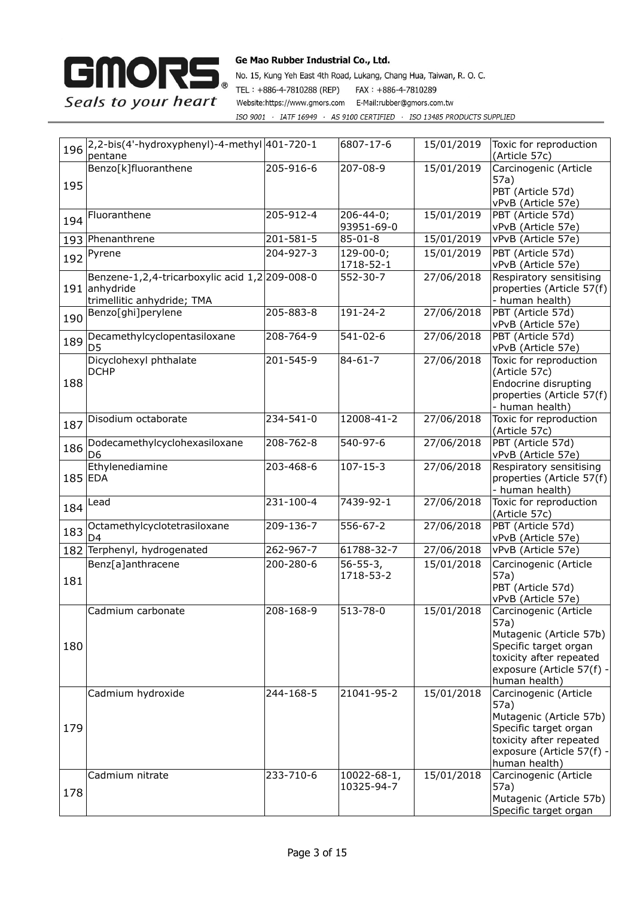

| 196       | 2,2-bis(4'-hydroxyphenyl)-4-methyl 401-720-1<br>pentane                                       |           | 6807-17-6                     | 15/01/2019 | Toxic for reproduction<br>(Article 57c)                                                                                                                    |
|-----------|-----------------------------------------------------------------------------------------------|-----------|-------------------------------|------------|------------------------------------------------------------------------------------------------------------------------------------------------------------|
| 195       | Benzo[k]fluoranthene                                                                          | 205-916-6 | 207-08-9                      | 15/01/2019 | Carcinogenic (Article<br>57a)<br>PBT (Article 57d)<br>vPvB (Article 57e)                                                                                   |
| 194       | Fluoranthene                                                                                  | 205-912-4 | $206 - 44 - 0;$<br>93951-69-0 | 15/01/2019 | PBT (Article 57d)<br>vPvB (Article 57e)                                                                                                                    |
|           | 193 Phenanthrene                                                                              | 201-581-5 | 85-01-8                       | 15/01/2019 | vPvB (Article 57e)                                                                                                                                         |
|           | 192 Pyrene                                                                                    | 204-927-3 | $129 - 00 - 0;$<br>1718-52-1  | 15/01/2019 | PBT (Article 57d)<br>vPvB (Article 57e)                                                                                                                    |
|           | Benzene-1,2,4-tricarboxylic acid 1,2 209-008-0<br>191 anhydride<br>trimellitic anhydride; TMA |           | 552-30-7                      | 27/06/2018 | Respiratory sensitising<br>properties (Article 57(f)<br>- human health)                                                                                    |
| 190       | Benzo[ghi]perylene                                                                            | 205-883-8 | 191-24-2                      | 27/06/2018 | PBT (Article 57d)<br>vPvB (Article 57e)                                                                                                                    |
| 189       | Decamethylcyclopentasiloxane<br>D <sub>5</sub>                                                | 208-764-9 | 541-02-6                      | 27/06/2018 | PBT (Article 57d)<br>vPvB (Article 57e)                                                                                                                    |
| 188       | Dicyclohexyl phthalate<br><b>DCHP</b>                                                         | 201-545-9 | $84 - 61 - 7$                 | 27/06/2018 | Toxic for reproduction<br>(Article 57c)<br>Endocrine disrupting<br>properties (Article 57(f)<br>- human health)                                            |
| 187       | Disodium octaborate                                                                           | 234-541-0 | 12008-41-2                    | 27/06/2018 | Toxic for reproduction<br>(Article 57c)                                                                                                                    |
| 186       | Dodecamethylcyclohexasiloxane<br>D <sub>6</sub>                                               | 208-762-8 | 540-97-6                      | 27/06/2018 | PBT (Article 57d)<br>vPvB (Article 57e)                                                                                                                    |
| $185$ EDA | Ethylenediamine                                                                               | 203-468-6 | $107 - 15 - 3$                | 27/06/2018 | Respiratory sensitising<br>properties (Article 57(f)<br>- human health)                                                                                    |
| 184       | Lead                                                                                          | 231-100-4 | 7439-92-1                     | 27/06/2018 | Toxic for reproduction<br>(Article 57c)                                                                                                                    |
| 183       | Octamethylcyclotetrasiloxane<br>D4                                                            | 209-136-7 | 556-67-2                      | 27/06/2018 | PBT (Article 57d)<br>vPvB (Article 57e)                                                                                                                    |
|           | 182 Terphenyl, hydrogenated                                                                   | 262-967-7 | 61788-32-7                    | 27/06/2018 | vPvB (Article 57e)                                                                                                                                         |
| 181       | Benz[a]anthracene                                                                             | 200-280-6 | $56 - 55 - 3,$<br>1718-53-2   | 15/01/2018 | Carcinogenic (Article<br>57a)<br>PBT (Article 57d)<br>vPvB (Article 57e)                                                                                   |
| 180       | Cadmium carbonate                                                                             | 208-168-9 | 513-78-0                      | 15/01/2018 | Carcinogenic (Article<br>57a)<br>Mutagenic (Article 57b)<br>Specific target organ<br>toxicity after repeated<br>exposure (Article 57(f) -<br>human health) |
| 179       | Cadmium hydroxide                                                                             | 244-168-5 | 21041-95-2                    | 15/01/2018 | Carcinogenic (Article<br>57a)<br>Mutagenic (Article 57b)<br>Specific target organ<br>toxicity after repeated<br>exposure (Article 57(f) -<br>human health) |
| 178       | Cadmium nitrate                                                                               | 233-710-6 | 10022-68-1,<br>10325-94-7     | 15/01/2018 | Carcinogenic (Article<br>57a)<br>Mutagenic (Article 57b)<br>Specific target organ                                                                          |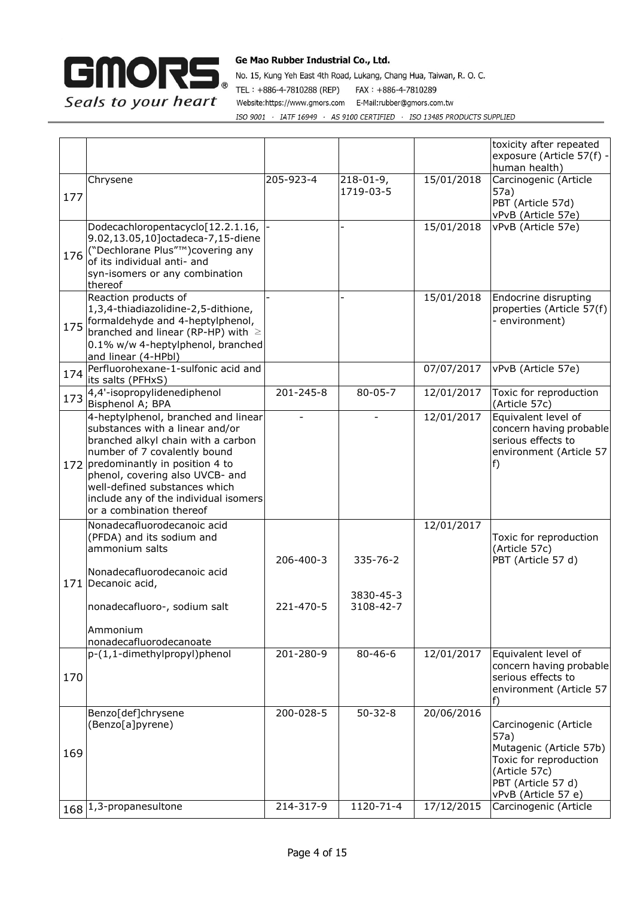

|     |                                                                                                                                                                                                                                                                                                                             |           |                              |            | toxicity after repeated<br>exposure (Article 57(f) -<br>human health)                                                                            |
|-----|-----------------------------------------------------------------------------------------------------------------------------------------------------------------------------------------------------------------------------------------------------------------------------------------------------------------------------|-----------|------------------------------|------------|--------------------------------------------------------------------------------------------------------------------------------------------------|
| 177 | Chrysene                                                                                                                                                                                                                                                                                                                    | 205-923-4 | $218 - 01 - 9,$<br>1719-03-5 | 15/01/2018 | Carcinogenic (Article<br>57a)<br>PBT (Article 57d)<br>vPvB (Article 57e)                                                                         |
| 176 | Dodecachloropentacyclo[12.2.1.16,<br>9.02,13.05,10] octadeca-7,15-diene<br>("Dechlorane Plus"™)covering any<br>of its individual anti- and<br>syn-isomers or any combination<br>thereof                                                                                                                                     |           |                              | 15/01/2018 | vPvB (Article 57e)                                                                                                                               |
| 175 | Reaction products of<br>1,3,4-thiadiazolidine-2,5-dithione,<br>formaldehyde and 4-heptylphenol,<br>branched and linear (RP-HP) with $\geq$<br>0.1% w/w 4-heptylphenol, branched<br>and linear (4-HPbl)                                                                                                                      |           |                              | 15/01/2018 | Endocrine disrupting<br>properties (Article 57(f)<br>- environment)                                                                              |
| 174 | Perfluorohexane-1-sulfonic acid and<br>its salts (PFHxS)                                                                                                                                                                                                                                                                    |           |                              | 07/07/2017 | vPvB (Article 57e)                                                                                                                               |
| 173 | 4,4'-isopropylidenediphenol<br>Bisphenol A; BPA                                                                                                                                                                                                                                                                             | 201-245-8 | $80 - 05 - 7$                | 12/01/2017 | Toxic for reproduction<br>(Article 57c)                                                                                                          |
|     | 4-heptylphenol, branched and linear<br>substances with a linear and/or<br>branched alkyl chain with a carbon<br>number of 7 covalently bound<br>172 predominantly in position 4 to<br>phenol, covering also UVCB- and<br>well-defined substances which<br>include any of the individual isomers<br>or a combination thereof |           |                              | 12/01/2017 | Equivalent level of<br>concern having probable<br>serious effects to<br>environment (Article 57<br>f)                                            |
|     | Nonadecafluorodecanoic acid<br>(PFDA) and its sodium and<br>ammonium salts<br>Nonadecafluorodecanoic acid<br>171 Decanoic acid,                                                                                                                                                                                             | 206-400-3 | $335 - 76 - 2$<br>3830-45-3  | 12/01/2017 | Toxic for reproduction<br>(Article 57c)<br>PBT (Article 57 d)                                                                                    |
|     | nonadecafluoro-, sodium salt<br>Ammonium<br>nonadecafluorodecanoate                                                                                                                                                                                                                                                         | 221-470-5 | 3108-42-7                    |            |                                                                                                                                                  |
| 170 | p-(1,1-dimethylpropyl)phenol                                                                                                                                                                                                                                                                                                | 201-280-9 | $80 - 46 - 6$                | 12/01/2017 | Equivalent level of<br>concern having probable<br>serious effects to<br>environment (Article 57<br>f)                                            |
| 169 | Benzo[def]chrysene<br>(Benzo[a]pyrene)                                                                                                                                                                                                                                                                                      | 200-028-5 | $50 - 32 - 8$                | 20/06/2016 | Carcinogenic (Article<br>57a)<br>Mutagenic (Article 57b)<br>Toxic for reproduction<br>(Article 57c)<br>PBT (Article 57 d)<br>vPvB (Article 57 e) |
|     | 168 1,3-propanesultone                                                                                                                                                                                                                                                                                                      | 214-317-9 | $1120 - 71 - 4$              | 17/12/2015 | Carcinogenic (Article                                                                                                                            |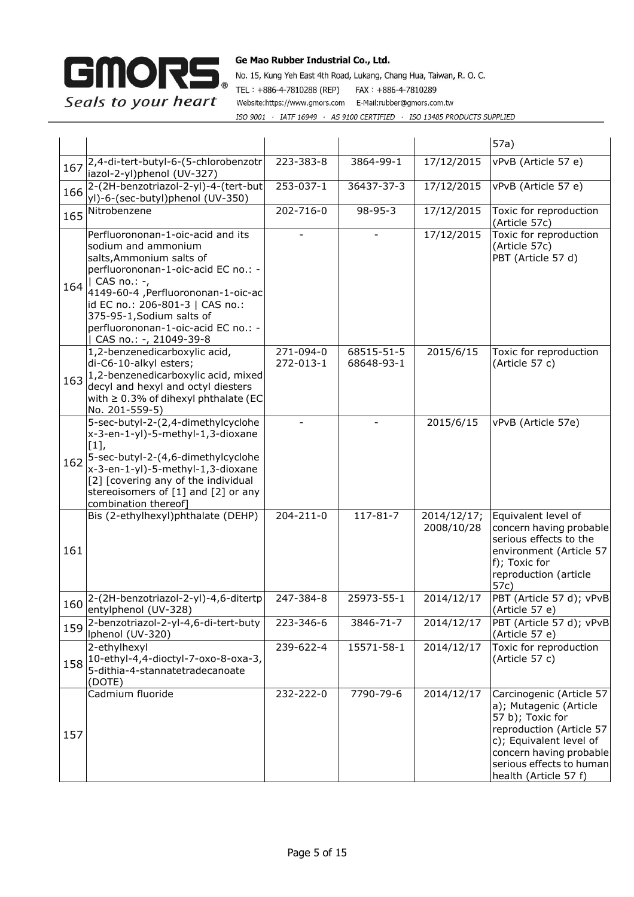

|     |                                                                                                                                                                                                                                                                                                                     |                        |                          |                           | 57a)                                                                                                                                                                                                          |
|-----|---------------------------------------------------------------------------------------------------------------------------------------------------------------------------------------------------------------------------------------------------------------------------------------------------------------------|------------------------|--------------------------|---------------------------|---------------------------------------------------------------------------------------------------------------------------------------------------------------------------------------------------------------|
| 167 | 2,4-di-tert-butyl-6-(5-chlorobenzotr<br>iazol-2-yl)phenol (UV-327)                                                                                                                                                                                                                                                  | 223-383-8              | 3864-99-1                | 17/12/2015                | vPvB (Article 57 e)                                                                                                                                                                                           |
| 166 | 2-(2H-benzotriazol-2-yl)-4-(tert-but<br>yl)-6-(sec-butyl)phenol (UV-350)                                                                                                                                                                                                                                            | 253-037-1              | 36437-37-3               | 17/12/2015                | vPvB (Article 57 e)                                                                                                                                                                                           |
| 165 | Nitrobenzene                                                                                                                                                                                                                                                                                                        | 202-716-0              | $98 - 95 - 3$            | 17/12/2015                | Toxic for reproduction<br>(Article 57c)                                                                                                                                                                       |
| 164 | Perfluorononan-1-oic-acid and its<br>sodium and ammonium<br>salts, Ammonium salts of<br>perfluorononan-1-oic-acid EC no.: -<br>  CAS no.: -,<br>4149-60-4, Perfluorononan-1-oic-ac<br>id EC no.: 206-801-3   CAS no.:<br>375-95-1, Sodium salts of<br>perfluorononan-1-oic-acid EC no.: -<br>CAS no.: -, 21049-39-8 |                        |                          | 17/12/2015                | Toxic for reproduction<br>(Article 57c)<br>PBT (Article 57 d)                                                                                                                                                 |
| 163 | 1,2-benzenedicarboxylic acid,<br>di-C6-10-alkyl esters;<br>1,2-benzenedicarboxylic acid, mixed<br>decyl and hexyl and octyl diesters<br>with $\geq 0.3\%$ of dihexyl phthalate (EC<br>No. 201-559-5)                                                                                                                | 271-094-0<br>272-013-1 | 68515-51-5<br>68648-93-1 | 2015/6/15                 | Toxic for reproduction<br>(Article 57 c)                                                                                                                                                                      |
| 162 | 5-sec-butyl-2-(2,4-dimethylcyclohe<br>x-3-en-1-yl)-5-methyl-1,3-dioxane<br>$[1],$<br>5-sec-butyl-2-(4,6-dimethylcyclohe<br>x-3-en-1-yl)-5-methyl-1,3-dioxane<br>[2] [covering any of the individual<br>stereoisomers of [1] and [2] or any<br>combination thereof]                                                  |                        |                          | 2015/6/15                 | vPvB (Article 57e)                                                                                                                                                                                            |
| 161 | Bis (2-ethylhexyl)phthalate (DEHP)                                                                                                                                                                                                                                                                                  | 204-211-0              | $117 - 81 - 7$           | 2014/12/17;<br>2008/10/28 | Equivalent level of<br>concern having probable<br>serious effects to the<br>environment (Article 57<br>f); Toxic for<br>reproduction (article<br>57c)                                                         |
| 160 | 2-(2H-benzotriazol-2-yl)-4,6-ditertp<br>entylphenol (UV-328)                                                                                                                                                                                                                                                        | 247-384-8              | 25973-55-1               | 2014/12/17                | PBT (Article 57 d); vPvB<br>(Article 57 e)                                                                                                                                                                    |
| 159 | 2-benzotriazol-2-yl-4,6-di-tert-buty<br>Iphenol (UV-320)                                                                                                                                                                                                                                                            | 223-346-6              | 3846-71-7                | 2014/12/17                | PBT (Article 57 d); vPvB<br>(Article 57 e)                                                                                                                                                                    |
| 158 | 2-ethylhexyl<br>10-ethyl-4,4-dioctyl-7-oxo-8-oxa-3,<br>5-dithia-4-stannatetradecanoate<br>(DOTE)                                                                                                                                                                                                                    | 239-622-4              | 15571-58-1               | 2014/12/17                | Toxic for reproduction<br>(Article 57 c)                                                                                                                                                                      |
| 157 | Cadmium fluoride                                                                                                                                                                                                                                                                                                    | 232-222-0              | 7790-79-6                | 2014/12/17                | Carcinogenic (Article 57<br>a); Mutagenic (Article<br>57 b); Toxic for<br>reproduction (Article 57<br>c); Equivalent level of<br>concern having probable<br>serious effects to human<br>health (Article 57 f) |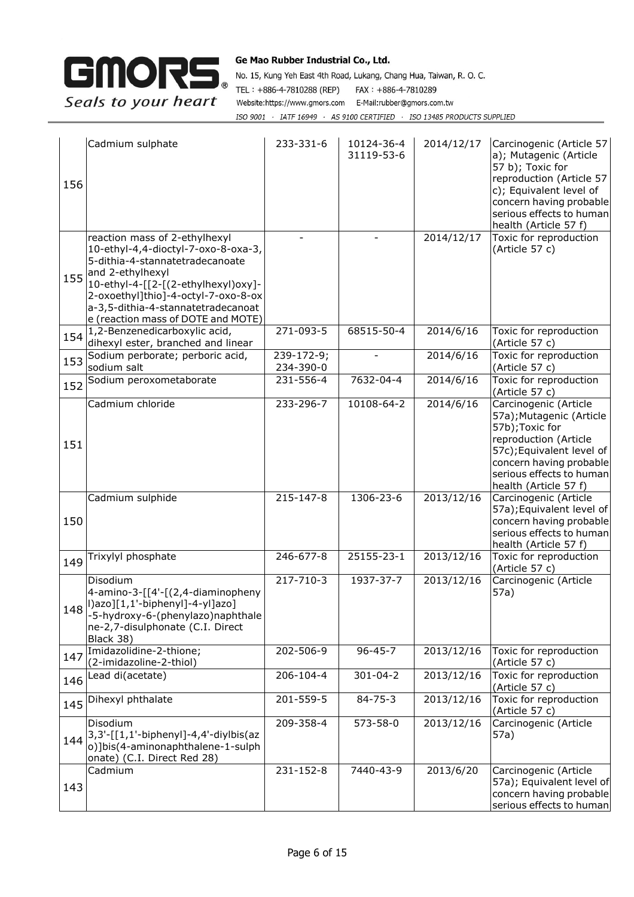

| 156 | Cadmium sulphate                                                                                                                                                                                                                                                                      | 233-331-6               | 10124-36-4<br>31119-53-6 | 2014/12/17 | Carcinogenic (Article 57<br>a); Mutagenic (Article<br>57 b); Toxic for<br>reproduction (Article 57<br>c); Equivalent level of<br>concern having probable<br>serious effects to human<br>health (Article 57 f) |
|-----|---------------------------------------------------------------------------------------------------------------------------------------------------------------------------------------------------------------------------------------------------------------------------------------|-------------------------|--------------------------|------------|---------------------------------------------------------------------------------------------------------------------------------------------------------------------------------------------------------------|
| 155 | reaction mass of 2-ethylhexyl<br>10-ethyl-4,4-dioctyl-7-oxo-8-oxa-3,<br>5-dithia-4-stannatetradecanoate<br>and 2-ethylhexyl<br>10-ethyl-4-[[2-[(2-ethylhexyl)oxy]-<br>2-oxoethyl]thio]-4-octyl-7-oxo-8-ox<br>a-3,5-dithia-4-stannatetradecanoat<br>e (reaction mass of DOTE and MOTE) |                         |                          | 2014/12/17 | Toxic for reproduction<br>(Article 57 c)                                                                                                                                                                      |
| 154 | 1,2-Benzenedicarboxylic acid,<br>dihexyl ester, branched and linear                                                                                                                                                                                                                   | 271-093-5               | 68515-50-4               | 2014/6/16  | Toxic for reproduction<br>(Article 57 c)                                                                                                                                                                      |
| 153 | Sodium perborate; perboric acid,<br>sodium salt                                                                                                                                                                                                                                       | 239-172-9;<br>234-390-0 |                          | 2014/6/16  | Toxic for reproduction<br>(Article 57 c)                                                                                                                                                                      |
| 152 | Sodium peroxometaborate                                                                                                                                                                                                                                                               | 231-556-4               | 7632-04-4                | 2014/6/16  | Toxic for reproduction<br>(Article 57 c)                                                                                                                                                                      |
| 151 | Cadmium chloride                                                                                                                                                                                                                                                                      | 233-296-7               | 10108-64-2               | 2014/6/16  | Carcinogenic (Article<br>57a); Mutagenic (Article<br>57b); Toxic for<br>reproduction (Article<br>57c); Equivalent level of<br>concern having probable<br>serious effects to human<br>health (Article 57 f)    |
| 150 | Cadmium sulphide                                                                                                                                                                                                                                                                      | 215-147-8               | 1306-23-6                | 2013/12/16 | Carcinogenic (Article<br>57a); Equivalent level of<br>concern having probable<br>serious effects to human<br>health (Article 57 f)                                                                            |
| 149 | Trixylyl phosphate                                                                                                                                                                                                                                                                    | 246-677-8               | 25155-23-1               | 2013/12/16 | Toxic for reproduction<br>(Article 57 c)                                                                                                                                                                      |
|     | Disodium<br>4-amino-3-[[4'-[(2,4-diaminopheny<br>148    ) azo][1,1'-biphenyl]-4-yl]azo]<br> -5-hydroxy-6-(phenylazo) naphthale<br>ne-2,7-disulphonate (C.I. Direct<br>Black 38)                                                                                                       | 217-710-3               | 1937-37-7                | 2013/12/16 | Carcinogenic (Article<br>57a)                                                                                                                                                                                 |
| 147 | Imidazolidine-2-thione;<br>(2-imidazoline-2-thiol)                                                                                                                                                                                                                                    | 202-506-9               | $96 - 45 - 7$            | 2013/12/16 | Toxic for reproduction<br>(Article 57 c)                                                                                                                                                                      |
| 146 | Lead di(acetate)                                                                                                                                                                                                                                                                      | 206-104-4               | $301 - 04 - 2$           | 2013/12/16 | Toxic for reproduction<br>(Article 57 c)                                                                                                                                                                      |
| 145 | Dihexyl phthalate                                                                                                                                                                                                                                                                     | 201-559-5               | $84 - 75 - 3$            | 2013/12/16 | Toxic for reproduction<br>(Article 57 c)                                                                                                                                                                      |
|     | Disodium<br>$144\begin{bmatrix} 3,3' \\ 3,1' \end{bmatrix}$ : [1,1'-biphenyl]-4,4'-diylbis(az<br>o)]bis(4-aminonaphthalene-1-sulph<br>onate) (C.I. Direct Red 28)                                                                                                                     | 209-358-4               | 573-58-0                 | 2013/12/16 | Carcinogenic (Article<br>57a)                                                                                                                                                                                 |
| 143 | Cadmium                                                                                                                                                                                                                                                                               | 231-152-8               | 7440-43-9                | 2013/6/20  | Carcinogenic (Article<br>57a); Equivalent level of<br>concern having probable<br>serious effects to human                                                                                                     |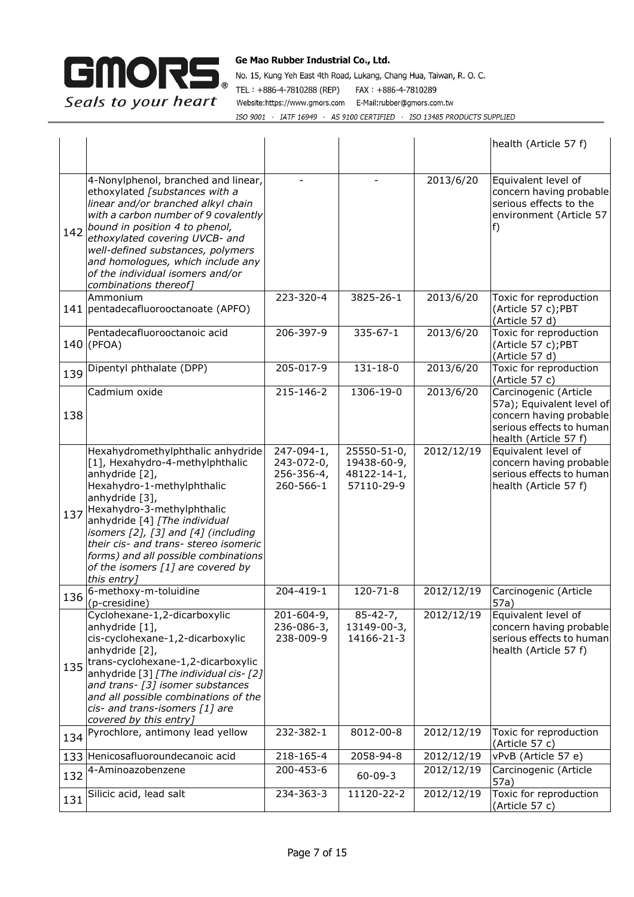

|     |                                                                                                                                                                                                                                                                                                                                                                                              |                                                     |                                                         |                          | health (Article 57 f)                                                                                                              |
|-----|----------------------------------------------------------------------------------------------------------------------------------------------------------------------------------------------------------------------------------------------------------------------------------------------------------------------------------------------------------------------------------------------|-----------------------------------------------------|---------------------------------------------------------|--------------------------|------------------------------------------------------------------------------------------------------------------------------------|
|     | 4-Nonylphenol, branched and linear,<br>ethoxylated [substances with a<br>linear and/or branched alkyl chain<br>with a carbon number of 9 covalently<br>142 bound in position 4 to phenol,<br>ethoxylated covering UVCB- and<br>well-defined substances, polymers<br>and homologues, which include any<br>of the individual isomers and/or<br>combinations thereof]                           |                                                     |                                                         | 2013/6/20                | Equivalent level of<br>concern having probable<br>serious effects to the<br>environment (Article 57<br>f)                          |
|     | Ammonium<br>141   pentadecafluorooctanoate (APFO)                                                                                                                                                                                                                                                                                                                                            | 223-320-4                                           | 3825-26-1                                               | $\overline{20}13/6/20$   | Toxic for reproduction<br>(Article 57 c);PBT<br>(Article 57 d)                                                                     |
|     | Pentadecafluorooctanoic acid<br>$140$ (PFOA)                                                                                                                                                                                                                                                                                                                                                 | 206-397-9                                           | $335 - 67 - 1$                                          | 2013/6/20                | Toxic for reproduction<br>(Article 57 c);PBT<br>(Article 57 d)                                                                     |
|     | 139 Dipentyl phthalate (DPP)                                                                                                                                                                                                                                                                                                                                                                 | 205-017-9                                           | $131 - 18 - 0$                                          | 2013/6/20                | Toxic for reproduction<br>(Article 57 c)                                                                                           |
| 138 | Cadmium oxide                                                                                                                                                                                                                                                                                                                                                                                | 215-146-2                                           | 1306-19-0                                               | 2013/6/20                | Carcinogenic (Article<br>57a); Equivalent level of<br>concern having probable<br>serious effects to human<br>health (Article 57 f) |
|     | Hexahydromethylphthalic anhydride<br>[1], Hexahydro-4-methylphthalic<br>anhydride [2],<br>Hexahydro-1-methylphthalic<br>anhydride [3],<br>137 Hexahydro-3-methylphthalic<br>anhydride [4] [The individual<br>isomers $[2]$ , $[3]$ and $[4]$ (including<br>their cis- and trans- stereo isomeric<br>forms) and all possible combinations<br>of the isomers [1] are covered by<br>this entry] | 247-094-1,<br>243-072-0,<br>256-356-4,<br>260-566-1 | 25550-51-0,<br>19438-60-9,<br>48122-14-1,<br>57110-29-9 | 2012/12/19               | Equivalent level of<br>concern having probable<br>serious effects to human<br>health (Article 57 f)                                |
| 136 | 6-methoxy-m-toluidine<br>(p-cresidine)                                                                                                                                                                                                                                                                                                                                                       | 204-419-1                                           | 120-71-8                                                | 2012/12/19               | Carcinogenic (Article<br>57a)                                                                                                      |
|     | Cyclohexane-1,2-dicarboxylic<br>anhydride [1],<br>cis-cyclohexane-1,2-dicarboxylic<br>anhydride [2],<br>135 trans-cyclohexane-1,2-dicarboxylic<br>anhydride [3] [The individual cis- [2]<br>and trans- [3] isomer substances<br>and all possible combinations of the<br>cis- and trans-isomers [1] are<br>covered by this entry]                                                             | 201-604-9,<br>236-086-3,<br>238-009-9               | $85 - 42 - 7,$<br>13149-00-3,<br>14166-21-3             | 2012/12/19               | Equivalent level of<br>concern having probable<br>serious effects to human<br>health (Article 57 f)                                |
|     | 134 Pyrochlore, antimony lead yellow                                                                                                                                                                                                                                                                                                                                                         | 232-382-1                                           | 8012-00-8                                               | 2012/12/19               | Toxic for reproduction<br>(Article 57 c)                                                                                           |
|     | 133 Henicosafluoroundecanoic acid                                                                                                                                                                                                                                                                                                                                                            | 218-165-4<br>200-453-6                              | 2058-94-8                                               | 2012/12/19<br>2012/12/19 | vPvB (Article 57 e)                                                                                                                |
| 132 | 4-Aminoazobenzene                                                                                                                                                                                                                                                                                                                                                                            |                                                     | $60 - 09 - 3$                                           |                          | Carcinogenic (Article<br>57a)                                                                                                      |
| 131 | Silicic acid, lead salt                                                                                                                                                                                                                                                                                                                                                                      | 234-363-3                                           | 11120-22-2                                              | 2012/12/19               | Toxic for reproduction<br>(Article 57 c)                                                                                           |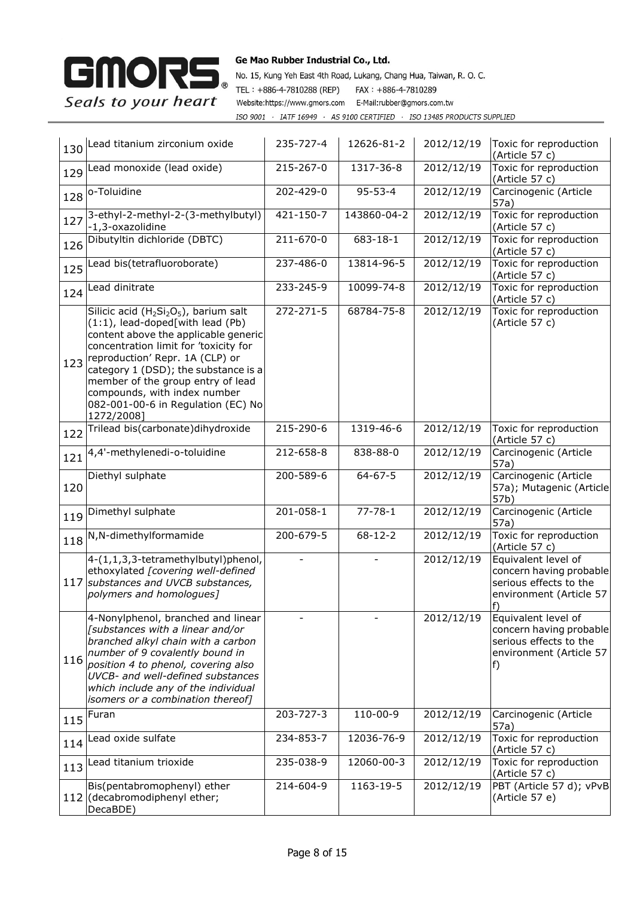

| 130 | Lead titanium zirconium oxide                                                                                                                                                                                                                                                                                                                                                                       | 235-727-4       | 12626-81-2    | 2012/12/19 | Toxic for reproduction<br>(Article 57 c)                                                                  |
|-----|-----------------------------------------------------------------------------------------------------------------------------------------------------------------------------------------------------------------------------------------------------------------------------------------------------------------------------------------------------------------------------------------------------|-----------------|---------------|------------|-----------------------------------------------------------------------------------------------------------|
| 129 | Lead monoxide (lead oxide)                                                                                                                                                                                                                                                                                                                                                                          | 215-267-0       | 1317-36-8     | 2012/12/19 | Toxic for reproduction<br>(Article 57 c)                                                                  |
| 128 | o-Toluidine                                                                                                                                                                                                                                                                                                                                                                                         | 202-429-0       | $95 - 53 - 4$ | 2012/12/19 | Carcinogenic (Article<br>57a)                                                                             |
| 127 | 3-ethyl-2-methyl-2-(3-methylbutyl)<br>-1,3-oxazolidine                                                                                                                                                                                                                                                                                                                                              | 421-150-7       | 143860-04-2   | 2012/12/19 | Toxic for reproduction<br>(Article 57 c)                                                                  |
| 126 | Dibutyltin dichloride (DBTC)                                                                                                                                                                                                                                                                                                                                                                        | 211-670-0       | 683-18-1      | 2012/12/19 | Toxic for reproduction<br>(Article 57 c)                                                                  |
| 125 | Lead bis(tetrafluoroborate)                                                                                                                                                                                                                                                                                                                                                                         | 237-486-0       | 13814-96-5    | 2012/12/19 | Toxic for reproduction<br>(Article 57 c)                                                                  |
| 124 | Lead dinitrate                                                                                                                                                                                                                                                                                                                                                                                      | 233-245-9       | 10099-74-8    | 2012/12/19 | Toxic for reproduction<br>(Article 57 c)                                                                  |
| 123 | Silicic acid (H <sub>2</sub> Si <sub>2</sub> O <sub>5</sub> ), barium salt<br>(1:1), lead-doped[with lead (Pb)<br>content above the applicable generic<br>concentration limit for 'toxicity for<br>reproduction' Repr. 1A (CLP) or<br>category 1 (DSD); the substance is a<br>member of the group entry of lead<br>compounds, with index number<br>082-001-00-6 in Regulation (EC) No<br>1272/2008] | $272 - 271 - 5$ | 68784-75-8    | 2012/12/19 | Toxic for reproduction<br>(Article 57 c)                                                                  |
| 122 | Trilead bis(carbonate)dihydroxide                                                                                                                                                                                                                                                                                                                                                                   | 215-290-6       | 1319-46-6     | 2012/12/19 | Toxic for reproduction<br>(Article 57 c)                                                                  |
| 121 | 4,4'-methylenedi-o-toluidine                                                                                                                                                                                                                                                                                                                                                                        | 212-658-8       | 838-88-0      | 2012/12/19 | Carcinogenic (Article<br>57a)                                                                             |
| 120 | Diethyl sulphate                                                                                                                                                                                                                                                                                                                                                                                    | 200-589-6       | $64 - 67 - 5$ | 2012/12/19 | Carcinogenic (Article<br>57a); Mutagenic (Article<br>57b)                                                 |
| 119 | Dimethyl sulphate                                                                                                                                                                                                                                                                                                                                                                                   | 201-058-1       | $77 - 78 - 1$ | 2012/12/19 | Carcinogenic (Article<br>57a)                                                                             |
| 118 | N,N-dimethylformamide                                                                                                                                                                                                                                                                                                                                                                               | 200-679-5       | $68 - 12 - 2$ | 2012/12/19 | Toxic for reproduction<br>(Article 57 c)                                                                  |
|     | 4-(1,1,3,3-tetramethylbutyl)phenol,<br>ethoxylated [covering well-defined<br>117 substances and UVCB substances,<br>polymers and homologues]                                                                                                                                                                                                                                                        |                 |               | 2012/12/19 | Equivalent level of<br>concern having probable<br>serious effects to the<br>environment (Article 57<br>f) |
|     | 4-Nonylphenol, branched and linear<br>[substances with a linear and/or<br>branched alkyl chain with a carbon<br>number of 9 covalently bound in<br>116 position 4 to phenol, covering also<br>UVCB- and well-defined substances<br>which include any of the individual<br>isomers or a combination thereof]                                                                                         |                 |               | 2012/12/19 | Equivalent level of<br>concern having probable<br>serious effects to the<br>environment (Article 57<br>f) |
| 115 | Furan                                                                                                                                                                                                                                                                                                                                                                                               | 203-727-3       | 110-00-9      | 2012/12/19 | Carcinogenic (Article<br>57a)                                                                             |
| 114 | Lead oxide sulfate                                                                                                                                                                                                                                                                                                                                                                                  | 234-853-7       | 12036-76-9    | 2012/12/19 | Toxic for reproduction<br>(Article 57 c)                                                                  |
| 113 | Lead titanium trioxide                                                                                                                                                                                                                                                                                                                                                                              | 235-038-9       | 12060-00-3    | 2012/12/19 | Toxic for reproduction<br>(Article 57 c)                                                                  |
|     | Bis(pentabromophenyl) ether<br>112 (decabromodiphenyl ether;<br>DecaBDE)                                                                                                                                                                                                                                                                                                                            | 214-604-9       | 1163-19-5     | 2012/12/19 | PBT (Article 57 d); vPvB<br>(Article 57 e)                                                                |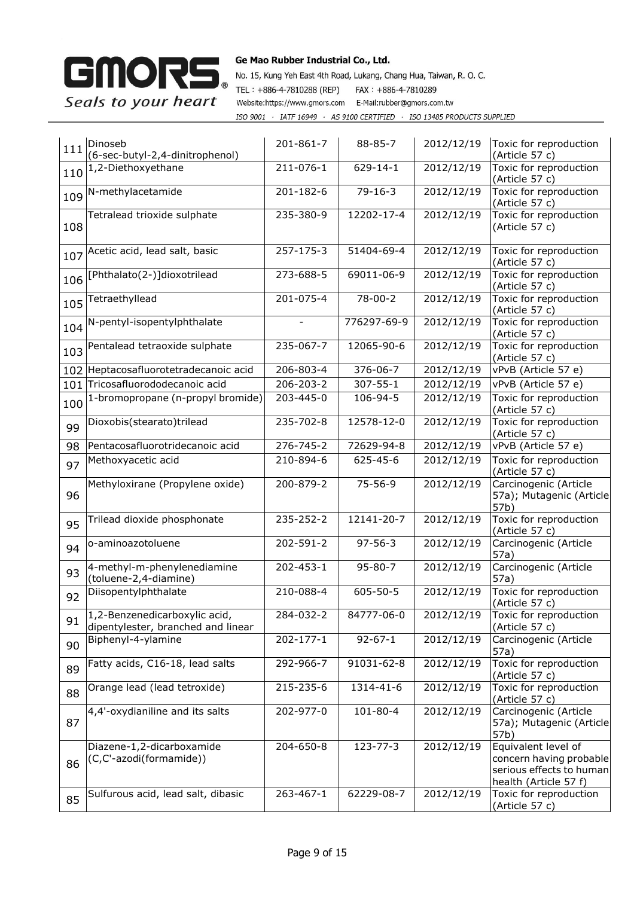

| 111 | Dinoseb<br>(6-sec-butyl-2,4-dinitrophenol)                          | 201-861-7       | 88-85-7        | 2012/12/19              | Toxic for reproduction<br>(Article 57 c)                                                            |
|-----|---------------------------------------------------------------------|-----------------|----------------|-------------------------|-----------------------------------------------------------------------------------------------------|
|     | 110 <sup>1,2-Diethoxyethane</sup>                                   | 211-076-1       | $629 - 14 - 1$ | 2012/12/19              | Toxic for reproduction<br>(Article 57 c)                                                            |
| 109 | N-methylacetamide                                                   | $201 - 182 - 6$ | $79 - 16 - 3$  | 2012/12/19              | Toxic for reproduction<br>(Article 57 c)                                                            |
| 108 | Tetralead trioxide sulphate                                         | 235-380-9       | 12202-17-4     | 2012/12/19              | Toxic for reproduction<br>(Article 57 c)                                                            |
|     | 107 Acetic acid, lead salt, basic                                   | 257-175-3       | 51404-69-4     | 2012/12/19              | Toxic for reproduction<br>(Article 57 c)                                                            |
| 106 | [Phthalato(2-)]dioxotrilead                                         | 273-688-5       | 69011-06-9     | $\overline{2012}/12/19$ | Toxic for reproduction<br>(Article 57 c)                                                            |
| 105 | Tetraethyllead                                                      | 201-075-4       | $78 - 00 - 2$  | 2012/12/19              | Toxic for reproduction<br>(Article 57 c)                                                            |
| 104 | N-pentyl-isopentylphthalate                                         |                 | 776297-69-9    | 2012/12/19              | Toxic for reproduction<br>(Article 57 c)                                                            |
| 103 | Pentalead tetraoxide sulphate                                       | 235-067-7       | 12065-90-6     | 2012/12/19              | Toxic for reproduction<br>(Article 57 c)                                                            |
| 102 | Heptacosafluorotetradecanoic acid                                   | 206-803-4       | 376-06-7       | 2012/12/19              | vPvB (Article 57 e)                                                                                 |
| 101 | Tricosafluorododecanoic acid                                        | 206-203-2       | 307-55-1       | 2012/12/19              | vPvB (Article 57 e)                                                                                 |
| 100 | 1-bromopropane (n-propyl bromide)                                   | 203-445-0       | 106-94-5       | 2012/12/19              | Toxic for reproduction<br>(Article 57 c)                                                            |
| 99  | Dioxobis(stearato)trilead                                           | 235-702-8       | 12578-12-0     | 2012/12/19              | Toxic for reproduction<br>(Article 57 c)                                                            |
| 98  | Pentacosafluorotridecanoic acid                                     | 276-745-2       | 72629-94-8     | 2012/12/19              | vPvB (Article 57 e)                                                                                 |
| 97  | Methoxyacetic acid                                                  | 210-894-6       | 625-45-6       | 2012/12/19              | Toxic for reproduction<br>(Article 57 c)                                                            |
| 96  | Methyloxirane (Propylene oxide)                                     | 200-879-2       | $75 - 56 - 9$  | 2012/12/19              | Carcinogenic (Article<br>57a); Mutagenic (Article<br>57b)                                           |
| 95  | Trilead dioxide phosphonate                                         | 235-252-2       | 12141-20-7     | 2012/12/19              | Toxic for reproduction<br>(Article 57 c)                                                            |
| 94  | o-aminoazotoluene                                                   | 202-591-2       | $97 - 56 - 3$  | 2012/12/19              | Carcinogenic (Article<br>57a)                                                                       |
| 93  | 4-methyl-m-phenylenediamine<br>(toluene-2,4-diamine)                | 202-453-1       | $95 - 80 - 7$  | 2012/12/19              | Carcinogenic (Article<br>57a)                                                                       |
| 92  | Diisopentylphthalate                                                | 210-088-4       | $605 - 50 - 5$ | 2012/12/19              | Toxic for reproduction<br>(Article 57 c)                                                            |
| 91  | 1,2-Benzenedicarboxylic acid,<br>dipentylester, branched and linear | 284-032-2       | 84777-06-0     | 2012/12/19              | Toxic for reproduction<br>(Article 57 c)                                                            |
| 90  | Biphenyl-4-ylamine                                                  | $202 - 177 - 1$ | $92 - 67 - 1$  | 2012/12/19              | Carcinogenic (Article<br>57a)                                                                       |
| 89  | Fatty acids, C16-18, lead salts                                     | 292-966-7       | 91031-62-8     | 2012/12/19              | Toxic for reproduction<br>(Article 57 c)                                                            |
| 88  | Orange lead (lead tetroxide)                                        | 215-235-6       | 1314-41-6      | 2012/12/19              | Toxic for reproduction<br>(Article 57 c)                                                            |
| 87  | 4,4'-oxydianiline and its salts                                     | 202-977-0       | 101-80-4       | 2012/12/19              | Carcinogenic (Article<br>57a); Mutagenic (Article<br>57b)                                           |
| 86  | Diazene-1,2-dicarboxamide<br>(C,C'-azodi(formamide))                | 204-650-8       | 123-77-3       | 2012/12/19              | Equivalent level of<br>concern having probable<br>serious effects to human<br>health (Article 57 f) |
| 85  | Sulfurous acid, lead salt, dibasic                                  | 263-467-1       | 62229-08-7     | 2012/12/19              | Toxic for reproduction<br>(Article 57 c)                                                            |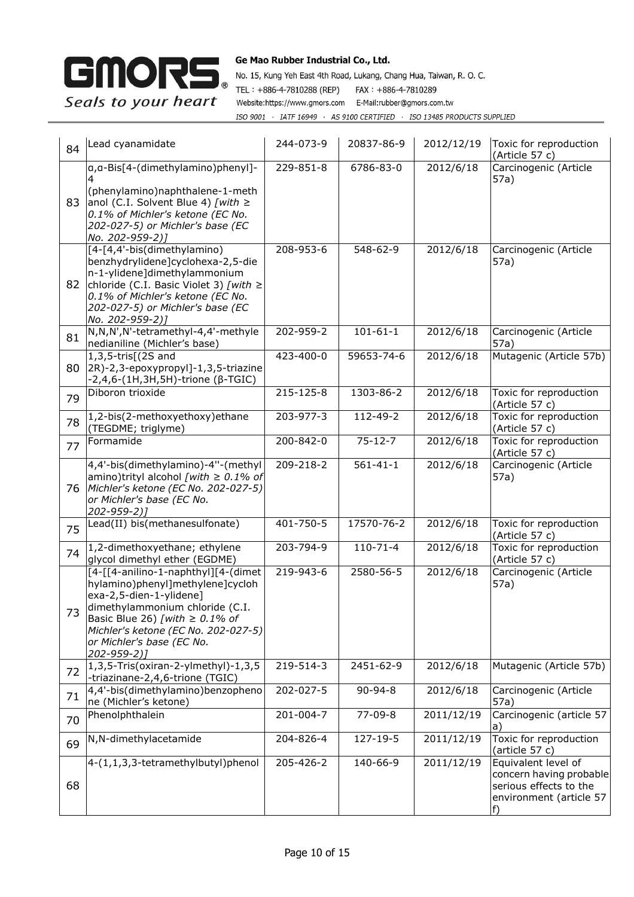

| 84 | Lead cyanamidate                                                                                                                                                                                                                                                | 244-073-9       | 20837-86-9     | 2012/12/19 | Toxic for reproduction<br>(Article 57 c)                                                                  |
|----|-----------------------------------------------------------------------------------------------------------------------------------------------------------------------------------------------------------------------------------------------------------------|-----------------|----------------|------------|-----------------------------------------------------------------------------------------------------------|
| 83 | a, a-Bis[4-(dimethylamino)phenyl]-<br>(phenylamino)naphthalene-1-meth<br>anol (C.I. Solvent Blue 4) [with $\ge$<br>0.1% of Michler's ketone (EC No.<br>202-027-5) or Michler's base (EC<br>No. 202-959-2)]                                                      | 229-851-8       | 6786-83-0      | 2012/6/18  | Carcinogenic (Article<br>57a)                                                                             |
| 82 | [4-[4,4'-bis(dimethylamino)<br>benzhydrylidene]cyclohexa-2,5-die<br>n-1-ylidene]dimethylammonium<br>chloride (C.I. Basic Violet 3) [with $\geq$<br>0.1% of Michler's ketone (EC No.<br>202-027-5) or Michler's base (EC<br>No. 202-959-2)]                      | 208-953-6       | 548-62-9       | 2012/6/18  | Carcinogenic (Article<br>57a)                                                                             |
| 81 | N,N,N',N'-tetramethyl-4,4'-methyle<br>nedianiline (Michler's base)                                                                                                                                                                                              | 202-959-2       | $101 - 61 - 1$ | 2012/6/18  | Carcinogenic (Article<br>57a)                                                                             |
| 80 | 1,3,5-tris[(2S and<br>2R)-2,3-epoxypropyl]-1,3,5-triazine<br>$-2,4,6-(1H,3H,5H)-$ trione ( $\beta$ -TGIC)                                                                                                                                                       | 423-400-0       | 59653-74-6     | 2012/6/18  | Mutagenic (Article 57b)                                                                                   |
| 79 | Diboron trioxide                                                                                                                                                                                                                                                | $215 - 125 - 8$ | 1303-86-2      | 2012/6/18  | Toxic for reproduction<br>(Article 57 c)                                                                  |
| 78 | 1,2-bis(2-methoxyethoxy)ethane<br>(TEGDME; triglyme)                                                                                                                                                                                                            | 203-977-3       | 112-49-2       | 2012/6/18  | Toxic for reproduction<br>(Article 57 c)                                                                  |
| 77 | Formamide                                                                                                                                                                                                                                                       | 200-842-0       | $75 - 12 - 7$  | 2012/6/18  | Toxic for reproduction<br>(Article 57 c)                                                                  |
| 76 | 4,4'-bis(dimethylamino)-4"-(methyl<br>amino)trityl alcohol [with $\geq$ 0.1% of<br>Michler's ketone (EC No. 202-027-5)<br>or Michler's base (EC No.<br>202-959-2)]                                                                                              | 209-218-2       | $561 - 41 - 1$ | 2012/6/18  | Carcinogenic (Article<br>57a)                                                                             |
| 75 | Lead(II) bis(methanesulfonate)                                                                                                                                                                                                                                  | 401-750-5       | 17570-76-2     | 2012/6/18  | Toxic for reproduction<br>(Article 57 c)                                                                  |
| 74 | 1,2-dimethoxyethane; ethylene<br>glycol dimethyl ether (EGDME)                                                                                                                                                                                                  | 203-794-9       | $110 - 71 - 4$ | 2012/6/18  | Toxic for reproduction<br>(Article 57 c)                                                                  |
| 73 | [4-[[4-anilino-1-naphthyl][4-(dimet<br>hylamino)phenyl]methylene]cycloh<br>exa-2,5-dien-1-ylidene]<br>dimethylammonium chloride (C.I.<br>Basic Blue 26) [with $\geq$ 0.1% of<br>Michler's ketone (EC No. 202-027-5)<br>or Michler's base (EC No.<br>202-959-2)] | 219-943-6       | 2580-56-5      | 2012/6/18  | Carcinogenic (Article<br>57a)                                                                             |
| 72 | 1,3,5-Tris(oxiran-2-ylmethyl)-1,3,5<br>-triazinane-2,4,6-trione (TGIC)                                                                                                                                                                                          | 219-514-3       | 2451-62-9      | 2012/6/18  | Mutagenic (Article 57b)                                                                                   |
| 71 | 4,4'-bis(dimethylamino)benzopheno<br>ne (Michler's ketone)                                                                                                                                                                                                      | 202-027-5       | $90 - 94 - 8$  | 2012/6/18  | Carcinogenic (Article<br>57a)                                                                             |
| 70 | Phenolphthalein                                                                                                                                                                                                                                                 | 201-004-7       | $77 - 09 - 8$  | 2011/12/19 | Carcinogenic (article 57<br>a)                                                                            |
| 69 | N,N-dimethylacetamide                                                                                                                                                                                                                                           | 204-826-4       | 127-19-5       | 2011/12/19 | Toxic for reproduction<br>(article 57 c)                                                                  |
| 68 | 4-(1,1,3,3-tetramethylbutyl)phenol                                                                                                                                                                                                                              | 205-426-2       | 140-66-9       | 2011/12/19 | Equivalent level of<br>concern having probable<br>serious effects to the<br>environment (article 57<br>f) |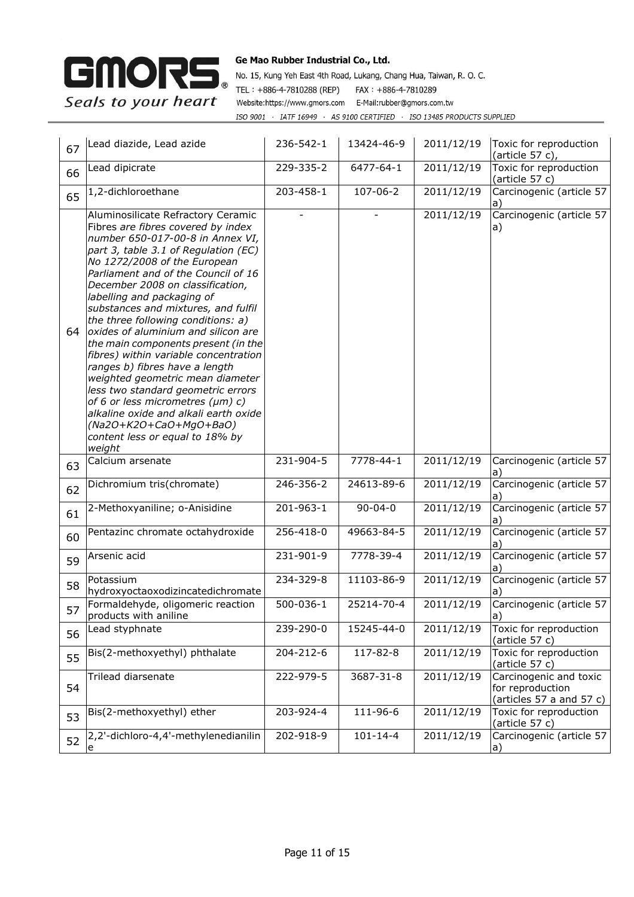

| 67 | Lead diazide, Lead azide                                                                                                                                                                                                                                                                                                                                                                                                                                                                                                                                                                                                                                                                                                                                            | 236-542-1 | 13424-46-9     | 2011/12/19 | Toxic for reproduction<br>(article 57 c),                              |
|----|---------------------------------------------------------------------------------------------------------------------------------------------------------------------------------------------------------------------------------------------------------------------------------------------------------------------------------------------------------------------------------------------------------------------------------------------------------------------------------------------------------------------------------------------------------------------------------------------------------------------------------------------------------------------------------------------------------------------------------------------------------------------|-----------|----------------|------------|------------------------------------------------------------------------|
| 66 | Lead dipicrate                                                                                                                                                                                                                                                                                                                                                                                                                                                                                                                                                                                                                                                                                                                                                      | 229-335-2 | 6477-64-1      | 2011/12/19 | Toxic for reproduction<br>(article 57 c)                               |
| 65 | 1,2-dichloroethane                                                                                                                                                                                                                                                                                                                                                                                                                                                                                                                                                                                                                                                                                                                                                  | 203-458-1 | 107-06-2       | 2011/12/19 | Carcinogenic (article 57<br>a)                                         |
| 64 | Aluminosilicate Refractory Ceramic<br>Fibres are fibres covered by index<br>number 650-017-00-8 in Annex VI,<br>part 3, table 3.1 of Regulation (EC)<br>No 1272/2008 of the European<br>Parliament and of the Council of 16<br>December 2008 on classification,<br>labelling and packaging of<br>substances and mixtures, and fulfil<br>the three following conditions: a)<br>oxides of aluminium and silicon are<br>the main components present (in the<br>fibres) within variable concentration<br>ranges b) fibres have a length<br>weighted geometric mean diameter<br>less two standard geometric errors<br>of 6 or less micrometres (µm) c)<br>alkaline oxide and alkali earth oxide<br>$(Na2O+K2O+CaO+MgO+BaO)$<br>content less or equal to 18% by<br>weight |           |                | 2011/12/19 | Carcinogenic (article 57<br>a)                                         |
| 63 | Calcium arsenate                                                                                                                                                                                                                                                                                                                                                                                                                                                                                                                                                                                                                                                                                                                                                    | 231-904-5 | 7778-44-1      | 2011/12/19 | Carcinogenic (article 57<br>a)                                         |
| 62 | Dichromium tris(chromate)                                                                                                                                                                                                                                                                                                                                                                                                                                                                                                                                                                                                                                                                                                                                           | 246-356-2 | 24613-89-6     | 2011/12/19 | Carcinogenic (article 57<br>a)                                         |
| 61 | 2-Methoxyaniline; o-Anisidine                                                                                                                                                                                                                                                                                                                                                                                                                                                                                                                                                                                                                                                                                                                                       | 201-963-1 | $90 - 04 - 0$  | 2011/12/19 | Carcinogenic (article 57<br>a)                                         |
| 60 | Pentazinc chromate octahydroxide                                                                                                                                                                                                                                                                                                                                                                                                                                                                                                                                                                                                                                                                                                                                    | 256-418-0 | 49663-84-5     | 2011/12/19 | Carcinogenic (article 57<br>a)                                         |
| 59 | Arsenic acid                                                                                                                                                                                                                                                                                                                                                                                                                                                                                                                                                                                                                                                                                                                                                        | 231-901-9 | 7778-39-4      | 2011/12/19 | Carcinogenic (article 57<br>a)                                         |
| 58 | Potassium<br>hydroxyoctaoxodizincatedichromate                                                                                                                                                                                                                                                                                                                                                                                                                                                                                                                                                                                                                                                                                                                      | 234-329-8 | 11103-86-9     | 2011/12/19 | Carcinogenic (article 57<br>a)                                         |
| 57 | Formaldehyde, oligomeric reaction<br>products with aniline                                                                                                                                                                                                                                                                                                                                                                                                                                                                                                                                                                                                                                                                                                          | 500-036-1 | 25214-70-4     | 2011/12/19 | Carcinogenic (article 57<br> a)                                        |
| 56 | Lead styphnate                                                                                                                                                                                                                                                                                                                                                                                                                                                                                                                                                                                                                                                                                                                                                      | 239-290-0 | 15245-44-0     | 2011/12/19 | Toxic for reproduction<br>(article 57 c)                               |
| 55 | Bis(2-methoxyethyl) phthalate                                                                                                                                                                                                                                                                                                                                                                                                                                                                                                                                                                                                                                                                                                                                       | 204-212-6 | 117-82-8       | 2011/12/19 | Toxic for reproduction<br>(article 57 c)                               |
| 54 | Trilead diarsenate                                                                                                                                                                                                                                                                                                                                                                                                                                                                                                                                                                                                                                                                                                                                                  | 222-979-5 | 3687-31-8      | 2011/12/19 | Carcinogenic and toxic<br>for reproduction<br>(articles 57 a and 57 c) |
| 53 | Bis(2-methoxyethyl) ether                                                                                                                                                                                                                                                                                                                                                                                                                                                                                                                                                                                                                                                                                                                                           | 203-924-4 | 111-96-6       | 2011/12/19 | Toxic for reproduction<br>(article 57 c)                               |
| 52 | 2,2'-dichloro-4,4'-methylenedianilin<br>e                                                                                                                                                                                                                                                                                                                                                                                                                                                                                                                                                                                                                                                                                                                           | 202-918-9 | $101 - 14 - 4$ | 2011/12/19 | Carcinogenic (article 57<br>a)                                         |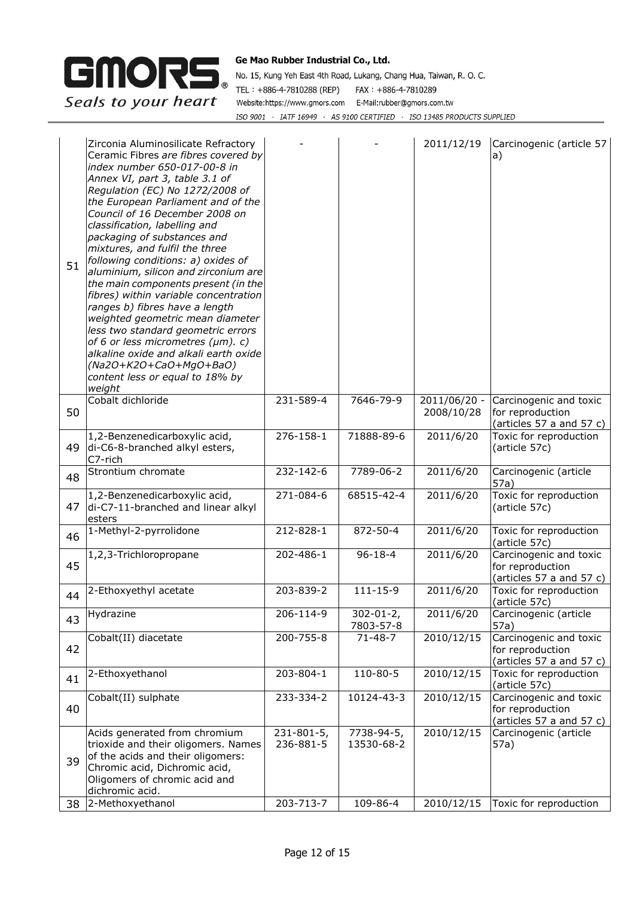

| 51 | Zirconia Aluminosilicate Refractory<br>Ceramic Fibres are fibres covered by<br>index number 650-017-00-8 in<br>Annex VI, part 3, table 3.1 of<br>Regulation (EC) No 1272/2008 of<br>the European Parliament and of the<br>Council of 16 December 2008 on<br>classification, labelling and<br>packaging of substances and<br>mixtures, and fulfil the three<br>following conditions: a) oxides of<br>aluminium, silicon and zirconium are<br>the main components present (in the<br>fibres) within variable concentration<br>ranges b) fibres have a length<br>weighted geometric mean diameter<br>less two standard geometric errors<br>of 6 or less micrometres (µm). c)<br>alkaline oxide and alkali earth oxide<br>(Na2O+K2O+CaO+MgO+BaO)<br>content less or equal to 18% by<br>weight |                         |                              | 2011/12/19                 | Carcinogenic (article 57<br>a)                                         |
|----|-------------------------------------------------------------------------------------------------------------------------------------------------------------------------------------------------------------------------------------------------------------------------------------------------------------------------------------------------------------------------------------------------------------------------------------------------------------------------------------------------------------------------------------------------------------------------------------------------------------------------------------------------------------------------------------------------------------------------------------------------------------------------------------------|-------------------------|------------------------------|----------------------------|------------------------------------------------------------------------|
| 50 | Cobalt dichloride                                                                                                                                                                                                                                                                                                                                                                                                                                                                                                                                                                                                                                                                                                                                                                         | 231-589-4               | 7646-79-9                    | 2011/06/20 -<br>2008/10/28 | Carcinogenic and toxic<br>for reproduction<br>(articles 57 a and 57 c) |
| 49 | 1,2-Benzenedicarboxylic acid,<br>di-C6-8-branched alkyl esters,<br>C7-rich                                                                                                                                                                                                                                                                                                                                                                                                                                                                                                                                                                                                                                                                                                                | 276-158-1               | 71888-89-6                   | 2011/6/20                  | Toxic for reproduction<br>(article 57c)                                |
| 48 | Strontium chromate                                                                                                                                                                                                                                                                                                                                                                                                                                                                                                                                                                                                                                                                                                                                                                        | 232-142-6               | 7789-06-2                    | 2011/6/20                  | Carcinogenic (article<br>57a)                                          |
| 47 | 1,2-Benzenedicarboxylic acid,<br>di-C7-11-branched and linear alkyl<br>esters                                                                                                                                                                                                                                                                                                                                                                                                                                                                                                                                                                                                                                                                                                             | 271-084-6               | 68515-42-4                   | 2011/6/20                  | Toxic for reproduction<br>(article 57c)                                |
| 46 | 1-Methyl-2-pyrrolidone                                                                                                                                                                                                                                                                                                                                                                                                                                                                                                                                                                                                                                                                                                                                                                    | 212-828-1               | 872-50-4                     | 2011/6/20                  | Toxic for reproduction<br>(article 57c)                                |
| 45 | 1,2,3-Trichloropropane                                                                                                                                                                                                                                                                                                                                                                                                                                                                                                                                                                                                                                                                                                                                                                    | 202-486-1               | $96 - 18 - 4$                | 2011/6/20                  | Carcinogenic and toxic<br>for reproduction<br>(articles 57 a and 57 c) |
| 44 | 2-Ethoxyethyl acetate                                                                                                                                                                                                                                                                                                                                                                                                                                                                                                                                                                                                                                                                                                                                                                     | 203-839-2               | $111 - 15 - 9$               | 2011/6/20                  | Toxic for reproduction<br>(article 57c)                                |
| 43 | Hydrazine                                                                                                                                                                                                                                                                                                                                                                                                                                                                                                                                                                                                                                                                                                                                                                                 | 206-114-9               | $302 - 01 - 2,$<br>7803-57-8 | 2011/6/20                  | Carcinogenic (article<br>57a)                                          |
| 42 | Cobalt(II) diacetate                                                                                                                                                                                                                                                                                                                                                                                                                                                                                                                                                                                                                                                                                                                                                                      | 200-755-8               | 71-48-7                      | 2010/12/15                 | Carcinogenic and toxic<br>for reproduction<br>(articles 57 a and 57 c) |
| 41 | 2-Ethoxyethanol                                                                                                                                                                                                                                                                                                                                                                                                                                                                                                                                                                                                                                                                                                                                                                           | 203-804-1               | 110-80-5                     | 2010/12/15                 | Toxic for reproduction<br>(article 57c)                                |
| 40 | Cobalt(II) sulphate                                                                                                                                                                                                                                                                                                                                                                                                                                                                                                                                                                                                                                                                                                                                                                       | 233-334-2               | 10124-43-3                   | 2010/12/15                 | Carcinogenic and toxic<br>for reproduction<br>(articles 57 a and 57 c) |
| 39 | Acids generated from chromium<br>trioxide and their oligomers. Names<br>of the acids and their oligomers:<br>Chromic acid, Dichromic acid,<br>Oligomers of chromic acid and<br>dichromic acid.                                                                                                                                                                                                                                                                                                                                                                                                                                                                                                                                                                                            | 231-801-5,<br>236-881-5 | 7738-94-5,<br>13530-68-2     | 2010/12/15                 | Carcinogenic (article<br>57a)                                          |
| 38 | 2-Methoxyethanol                                                                                                                                                                                                                                                                                                                                                                                                                                                                                                                                                                                                                                                                                                                                                                          | 203-713-7               | 109-86-4                     | 2010/12/15                 | Toxic for reproduction                                                 |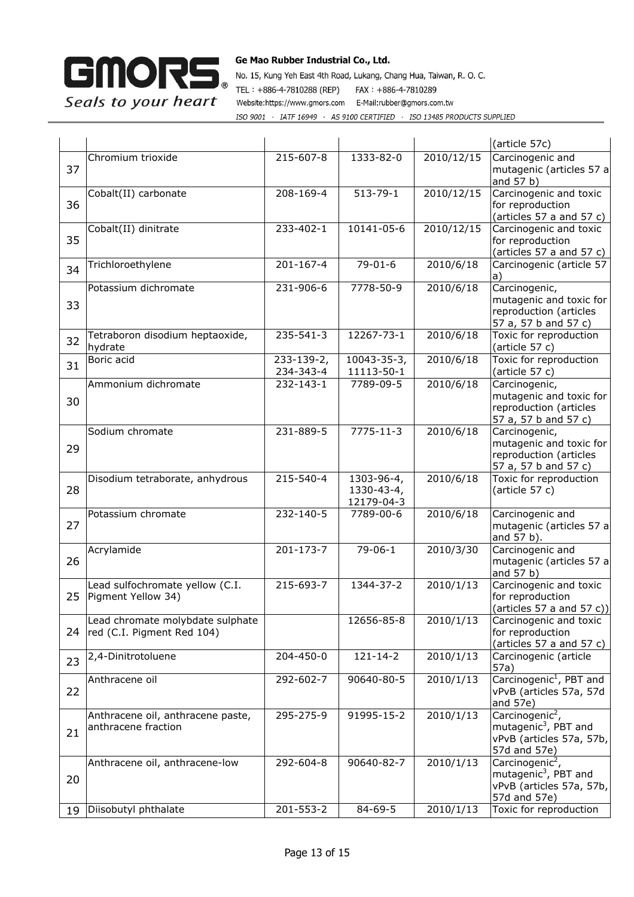

|    |                                                                |                         |                                        |            | (article 57c)                                                                                               |
|----|----------------------------------------------------------------|-------------------------|----------------------------------------|------------|-------------------------------------------------------------------------------------------------------------|
| 37 | Chromium trioxide                                              | 215-607-8               | 1333-82-0                              | 2010/12/15 | Carcinogenic and<br>mutagenic (articles 57 a<br>and 57 b)                                                   |
| 36 | Cobalt(II) carbonate                                           | 208-169-4               | $513 - 79 - 1$                         | 2010/12/15 | Carcinogenic and toxic<br>for reproduction<br>(articles 57 a and 57 c)                                      |
| 35 | Cobalt(II) dinitrate                                           | 233-402-1               | 10141-05-6                             | 2010/12/15 | Carcinogenic and toxic<br>for reproduction<br>(articles 57 a and 57 c)                                      |
| 34 | Trichloroethylene                                              | $201 - 167 - 4$         | $79 - 01 - 6$                          | 2010/6/18  | Carcinogenic (article 57<br>a)                                                                              |
| 33 | Potassium dichromate                                           | 231-906-6               | 7778-50-9                              | 2010/6/18  | Carcinogenic,<br>mutagenic and toxic for<br>reproduction (articles<br>57 a, 57 b and 57 c)                  |
| 32 | Tetraboron disodium heptaoxide,<br>hydrate                     | 235-541-3               | 12267-73-1                             | 2010/6/18  | Toxic for reproduction<br>(article 57 c)                                                                    |
| 31 | Boric acid                                                     | 233-139-2,<br>234-343-4 | 10043-35-3,<br>11113-50-1              | 2010/6/18  | Toxic for reproduction<br>(article 57 c)                                                                    |
| 30 | Ammonium dichromate                                            | 232-143-1               | 7789-09-5                              | 2010/6/18  | Carcinogenic,<br>mutagenic and toxic for<br>reproduction (articles<br>57 a, 57 b and 57 c)                  |
| 29 | Sodium chromate                                                | 231-889-5               | $7775 - 11 - 3$                        | 2010/6/18  | Carcinogenic,<br>mutagenic and toxic for<br>reproduction (articles<br>57 a, 57 b and 57 c)                  |
| 28 | Disodium tetraborate, anhydrous                                | 215-540-4               | 1303-96-4,<br>1330-43-4,<br>12179-04-3 | 2010/6/18  | Toxic for reproduction<br>(article 57 c)                                                                    |
| 27 | Potassium chromate                                             | 232-140-5               | 7789-00-6                              | 2010/6/18  | Carcinogenic and<br>mutagenic (articles 57 a<br>and 57 b).                                                  |
| 26 | Acrylamide                                                     | $201 - 173 - 7$         | $79 - 06 - 1$                          | 2010/3/30  | Carcinogenic and<br>mutagenic (articles 57 a<br>and 57 b)                                                   |
| 25 | Lead sulfochromate yellow (C.I.<br>Pigment Yellow 34)          | 215-693-7               | 1344-37-2                              | 2010/1/13  | Carcinogenic and toxic<br>for reproduction<br>(articles 57 a and 57 c))                                     |
| 24 | Lead chromate molybdate sulphate<br>red (C.I. Pigment Red 104) |                         | 12656-85-8                             | 2010/1/13  | Carcinogenic and toxic<br>for reproduction<br>(articles 57 a and 57 c)                                      |
| 23 | 2,4-Dinitrotoluene                                             | 204-450-0               | $121 - 14 - 2$                         | 2010/1/13  | Carcinogenic (article<br>57a)                                                                               |
| 22 | Anthracene oil                                                 | 292-602-7               | 90640-80-5                             | 2010/1/13  | Carcinogenic <sup>1</sup> , PBT and<br>vPvB (articles 57a, 57d<br>and 57e)                                  |
| 21 | Anthracene oil, anthracene paste,<br>anthracene fraction       | 295-275-9               | 91995-15-2                             | 2010/1/13  | Carcinogenic <sup>2</sup> ,<br>mutagenic <sup>3</sup> , PBT and<br>vPvB (articles 57a, 57b,<br>57d and 57e) |
| 20 | Anthracene oil, anthracene-low                                 | 292-604-8               | 90640-82-7                             | 2010/1/13  | Carcinogenic <sup>2</sup> ,<br>mutagenic <sup>3</sup> , PBT and<br>vPvB (articles 57a, 57b,<br>57d and 57e) |
| 19 | Diisobutyl phthalate                                           | 201-553-2               | 84-69-5                                | 2010/1/13  | Toxic for reproduction                                                                                      |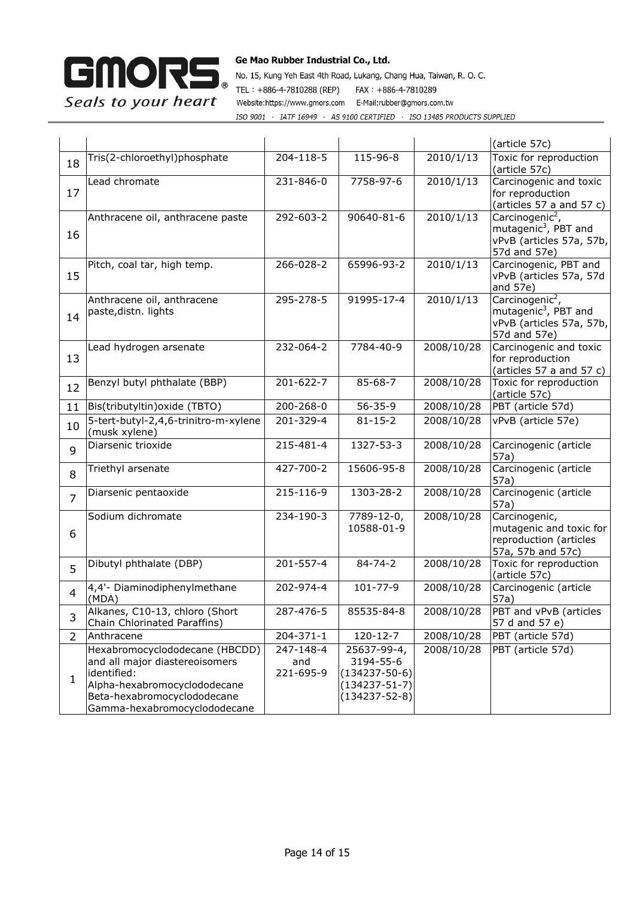

|                |                                                                                                                                                                                |                               |                                                                                               |            | (article 57c)                                                                                               |
|----------------|--------------------------------------------------------------------------------------------------------------------------------------------------------------------------------|-------------------------------|-----------------------------------------------------------------------------------------------|------------|-------------------------------------------------------------------------------------------------------------|
| 18             | Tris(2-chloroethyl)phosphate                                                                                                                                                   | 204-118-5                     | 115-96-8                                                                                      | 2010/1/13  | Toxic for reproduction<br>(article 57c)                                                                     |
| 17             | Lead chromate                                                                                                                                                                  | 231-846-0                     | 7758-97-6                                                                                     | 2010/1/13  | Carcinogenic and toxic<br>for reproduction<br>(articles 57 a and 57 c)                                      |
| 16             | Anthracene oil, anthracene paste                                                                                                                                               | 292-603-2                     | 90640-81-6                                                                                    | 2010/1/13  | Carcinogenic <sup>2</sup> ,<br>mutagenic <sup>3</sup> , PBT and<br>vPvB (articles 57a, 57b,<br>57d and 57e) |
| 15             | Pitch, coal tar, high temp.                                                                                                                                                    | 266-028-2                     | 65996-93-2                                                                                    | 2010/1/13  | Carcinogenic, PBT and<br>vPvB (articles 57a, 57d<br>and 57e)                                                |
| 14             | Anthracene oil, anthracene<br>paste, distn. lights                                                                                                                             | 295-278-5                     | 91995-17-4                                                                                    | 2010/1/13  | Carcinogenic <sup>2</sup> ,<br>mutagenic <sup>3</sup> , PBT and<br>vPvB (articles 57a, 57b,<br>57d and 57e) |
| 13             | Lead hydrogen arsenate                                                                                                                                                         | 232-064-2                     | 7784-40-9                                                                                     | 2008/10/28 | Carcinogenic and toxic<br>for reproduction<br>(articles 57 a and 57 c)                                      |
| 12             | Benzyl butyl phthalate (BBP)                                                                                                                                                   | 201-622-7                     | 85-68-7                                                                                       | 2008/10/28 | Toxic for reproduction<br>(article 57c)                                                                     |
| 11             | Bis(tributyltin) oxide (TBTO)                                                                                                                                                  | 200-268-0                     | $56 - 35 - 9$                                                                                 | 2008/10/28 | PBT (article 57d)                                                                                           |
| 10             | 5-tert-butyl-2,4,6-trinitro-m-xylene<br>(musk xylene)                                                                                                                          | 201-329-4                     | $81 - 15 - 2$                                                                                 | 2008/10/28 | vPvB (article 57e)                                                                                          |
| 9              | Diarsenic trioxide                                                                                                                                                             | 215-481-4                     | 1327-53-3                                                                                     | 2008/10/28 | Carcinogenic (article<br>57a)                                                                               |
| 8              | Triethyl arsenate                                                                                                                                                              | 427-700-2                     | 15606-95-8                                                                                    | 2008/10/28 | Carcinogenic (article<br>57a)                                                                               |
| $\overline{7}$ | Diarsenic pentaoxide                                                                                                                                                           | 215-116-9                     | 1303-28-2                                                                                     | 2008/10/28 | Carcinogenic (article<br>57a)                                                                               |
| 6              | Sodium dichromate                                                                                                                                                              | 234-190-3                     | 7789-12-0,<br>10588-01-9                                                                      | 2008/10/28 | Carcinogenic,<br>mutagenic and toxic for<br>reproduction (articles<br>57a, 57b and 57c)                     |
| 5              | Dibutyl phthalate (DBP)                                                                                                                                                        | 201-557-4                     | $84 - 74 - 2$                                                                                 | 2008/10/28 | Toxic for reproduction<br>(article 57c)                                                                     |
| 4              | 4,4'- Diaminodiphenylmethane<br>(MDA)                                                                                                                                          | 202-974-4                     | 101-77-9                                                                                      | 2008/10/28 | Carcinogenic (article<br>57a)                                                                               |
| 3              | Alkanes, C10-13, chloro (Short<br>Chain Chlorinated Paraffins)                                                                                                                 | 287-476-5                     | 85535-84-8                                                                                    | 2008/10/28 | PBT and vPvB (articles<br>57 d and 57 e)                                                                    |
| $\overline{2}$ | Anthracene                                                                                                                                                                     | 204-371-1                     | 120-12-7                                                                                      | 2008/10/28 | PBT (article 57d)                                                                                           |
| 1              | Hexabromocyclododecane (HBCDD)<br>and all major diastereoisomers<br>identified:<br>Alpha-hexabromocyclododecane<br>Beta-hexabromocyclododecane<br>Gamma-hexabromocyclododecane | 247-148-4<br>and<br>221-695-9 | 25637-99-4,<br>3194-55-6<br>$(134237 - 50 - 6)$<br>$(134237 - 51 - 7)$<br>$(134237 - 52 - 8)$ | 2008/10/28 | PBT (article 57d)                                                                                           |